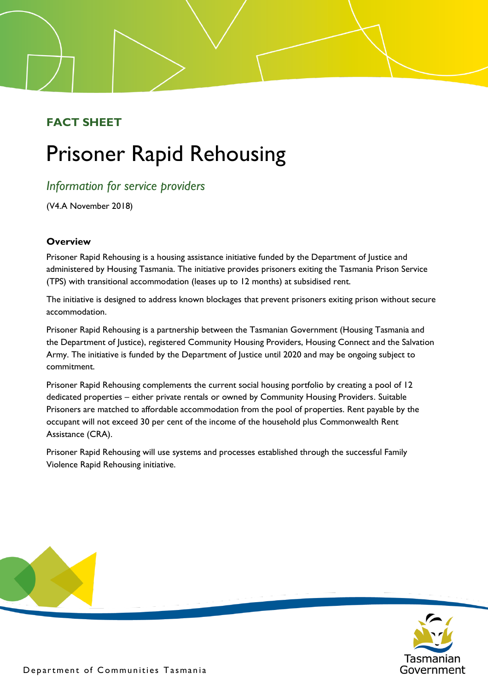# **FACT SHEET**

# Prisoner Rapid Rehousing

# *Information for service providers*

(V4.A November 2018)

# **Overview**

Prisoner Rapid Rehousing is a housing assistance initiative funded by the Department of Justice and administered by Housing Tasmania. The initiative provides prisoners exiting the Tasmania Prison Service (TPS) with transitional accommodation (leases up to 12 months) at subsidised rent.

The initiative is designed to address known blockages that prevent prisoners exiting prison without secure accommodation.

Prisoner Rapid Rehousing is a partnership between the Tasmanian Government (Housing Tasmania and the Department of Justice), registered Community Housing Providers, Housing Connect and the Salvation Army. The initiative is funded by the Department of Justice until 2020 and may be ongoing subject to commitment.

Prisoner Rapid Rehousing complements the current social housing portfolio by creating a pool of 12 dedicated properties – either private rentals or owned by Community Housing Providers. Suitable Prisoners are matched to affordable accommodation from the pool of properties. Rent payable by the occupant will not exceed 30 per cent of the income of the household plus Commonwealth Rent Assistance (CRA).

Prisoner Rapid Rehousing will use systems and processes established through the successful Family Violence Rapid Rehousing initiative.

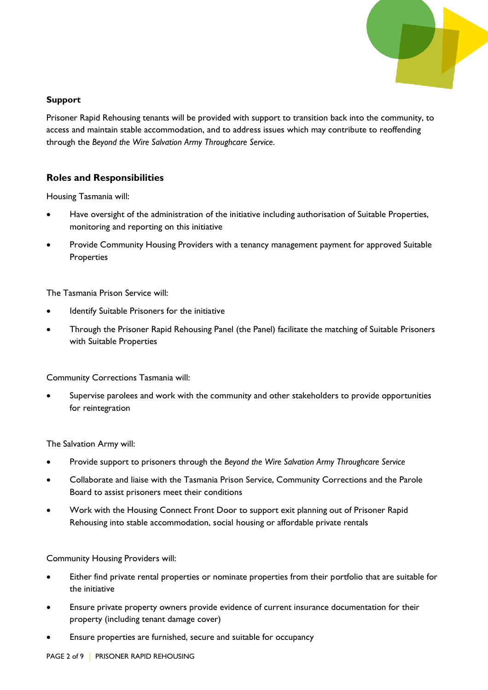

#### **Support**

Prisoner Rapid Rehousing tenants will be provided with support to transition back into the community, to access and maintain stable accommodation, and to address issues which may contribute to reoffending through the *Beyond the Wire Salvation Army Throughcare Service*.

# **Roles and Responsibilities**

Housing Tasmania will:

- Have oversight of the administration of the initiative including authorisation of Suitable Properties, monitoring and reporting on this initiative
- Provide Community Housing Providers with a tenancy management payment for approved Suitable **Properties**

The Tasmania Prison Service will:

- Identify Suitable Prisoners for the initiative
- Through the Prisoner Rapid Rehousing Panel (the Panel) facilitate the matching of Suitable Prisoners with Suitable Properties

Community Corrections Tasmania will:

Supervise parolees and work with the community and other stakeholders to provide opportunities for reintegration

The Salvation Army will:

- Provide support to prisoners through the *Beyond the Wire Salvation Army Throughcare Service*
- Collaborate and liaise with the Tasmania Prison Service, Community Corrections and the Parole Board to assist prisoners meet their conditions
- Work with the Housing Connect Front Door to support exit planning out of Prisoner Rapid Rehousing into stable accommodation, social housing or affordable private rentals

Community Housing Providers will:

- Either find private rental properties or nominate properties from their portfolio that are suitable for the initiative
- Ensure private property owners provide evidence of current insurance documentation for their property (including tenant damage cover)
- Ensure properties are furnished, secure and suitable for occupancy

PAGE 2 of 9 | PRISONER RAPID REHOUSING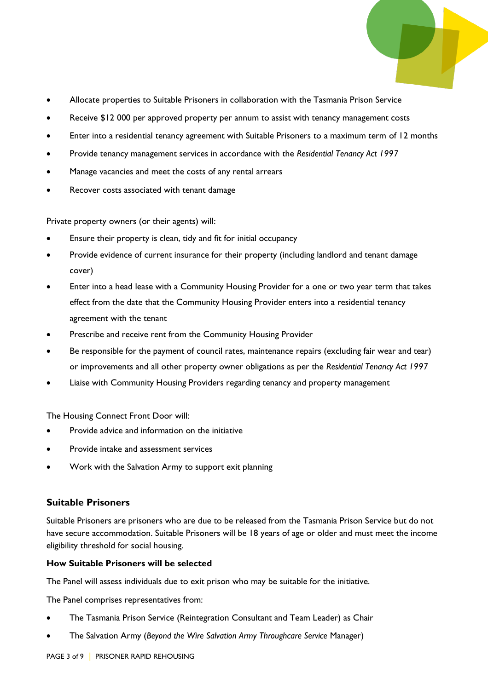- 
- Allocate properties to Suitable Prisoners in collaboration with the Tasmania Prison Service
- Receive \$12 000 per approved property per annum to assist with tenancy management costs
- Enter into a residential tenancy agreement with Suitable Prisoners to a maximum term of 12 months
- Provide tenancy management services in accordance with the *Residential Tenancy Act 1997*
- Manage vacancies and meet the costs of any rental arrears
- Recover costs associated with tenant damage

Private property owners (or their agents) will:

- Ensure their property is clean, tidy and fit for initial occupancy
- Provide evidence of current insurance for their property (including landlord and tenant damage cover)
- Enter into a head lease with a Community Housing Provider for a one or two year term that takes effect from the date that the Community Housing Provider enters into a residential tenancy agreement with the tenant
- Prescribe and receive rent from the Community Housing Provider
- Be responsible for the payment of council rates, maintenance repairs (excluding fair wear and tear) or improvements and all other property owner obligations as per the *Residential Tenancy Act 1997*
- Liaise with Community Housing Providers regarding tenancy and property management

The Housing Connect Front Door will:

- Provide advice and information on the initiative
- Provide intake and assessment services
- Work with the Salvation Army to support exit planning

### **Suitable Prisoners**

Suitable Prisoners are prisoners who are due to be released from the Tasmania Prison Service but do not have secure accommodation. Suitable Prisoners will be 18 years of age or older and must meet the income eligibility threshold for social housing.

#### **How Suitable Prisoners will be selected**

The Panel will assess individuals due to exit prison who may be suitable for the initiative.

The Panel comprises representatives from:

- The Tasmania Prison Service (Reintegration Consultant and Team Leader) as Chair
- The Salvation Army (*Beyond the Wire Salvation Army Throughcare Service* Manager)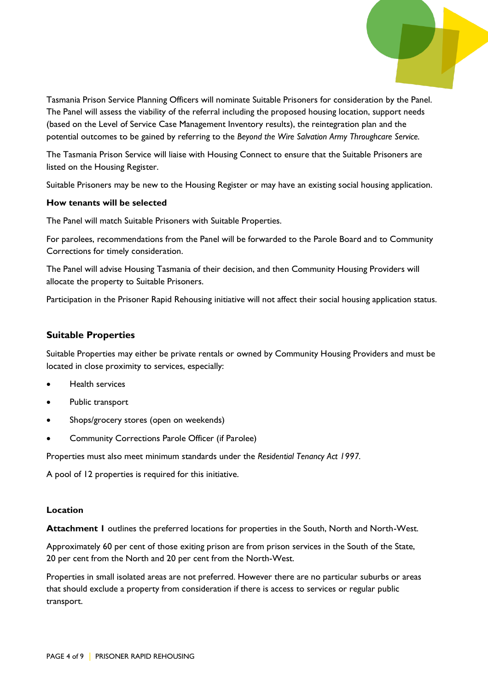

Tasmania Prison Service Planning Officers will nominate Suitable Prisoners for consideration by the Panel. The Panel will assess the viability of the referral including the proposed housing location, support needs (based on the Level of Service Case Management Inventory results), the reintegration plan and the potential outcomes to be gained by referring to the *Beyond the Wire Salvation Army Throughcare Service.*

The Tasmania Prison Service will liaise with Housing Connect to ensure that the Suitable Prisoners are listed on the Housing Register.

Suitable Prisoners may be new to the Housing Register or may have an existing social housing application.

#### **How tenants will be selected**

The Panel will match Suitable Prisoners with Suitable Properties.

For parolees, recommendations from the Panel will be forwarded to the Parole Board and to Community Corrections for timely consideration.

The Panel will advise Housing Tasmania of their decision, and then Community Housing Providers will allocate the property to Suitable Prisoners.

Participation in the Prisoner Rapid Rehousing initiative will not affect their social housing application status.

#### **Suitable Properties**

Suitable Properties may either be private rentals or owned by Community Housing Providers and must be located in close proximity to services, especially:

- Health services
- Public transport
- Shops/grocery stores (open on weekends)
- Community Corrections Parole Officer (if Parolee)

Properties must also meet minimum standards under the *Residential Tenancy Act 1997.* 

A pool of 12 properties is required for this initiative.

#### **Location**

**Attachment 1** outlines the preferred locations for properties in the South, North and North-West.

Approximately 60 per cent of those exiting prison are from prison services in the South of the State, 20 per cent from the North and 20 per cent from the North-West.

Properties in small isolated areas are not preferred. However there are no particular suburbs or areas that should exclude a property from consideration if there is access to services or regular public transport.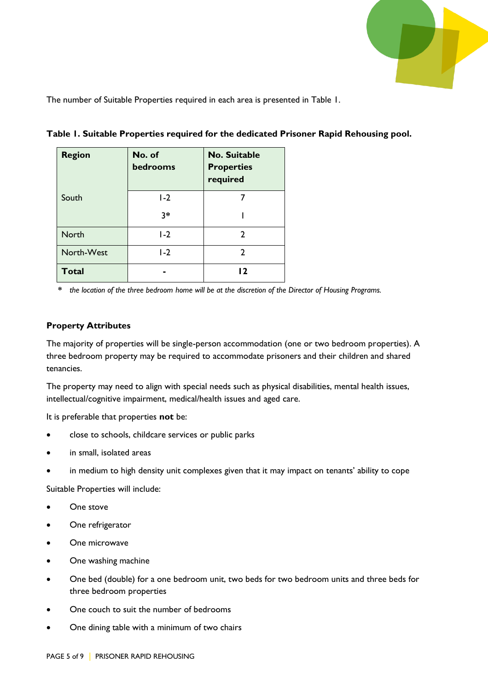

The number of Suitable Properties required in each area is presented in Table 1.

| <b>Region</b> | No. of<br>bedrooms | <b>No. Suitable</b><br><b>Properties</b><br>required |
|---------------|--------------------|------------------------------------------------------|
| South         | $1-2$              |                                                      |
|               | $3*$               |                                                      |
| <b>North</b>  | $1-2$              | 2                                                    |
| North-West    | $1-2$              | 2                                                    |
| <b>Total</b>  |                    | כו                                                   |

**Table 1. Suitable Properties required for the dedicated Prisoner Rapid Rehousing pool.**

**\*** *the location of the three bedroom home will be at the discretion of the Director of Housing Programs.*

# **Property Attributes**

The majority of properties will be single-person accommodation (one or two bedroom properties). A three bedroom property may be required to accommodate prisoners and their children and shared tenancies.

The property may need to align with special needs such as physical disabilities, mental health issues, intellectual/cognitive impairment, medical/health issues and aged care.

It is preferable that properties **not** be:

- close to schools, childcare services or public parks
- in small, isolated areas
- in medium to high density unit complexes given that it may impact on tenants' ability to cope

Suitable Properties will include:

- One stove
- One refrigerator
- One microwave
- One washing machine
- One bed (double) for a one bedroom unit, two beds for two bedroom units and three beds for three bedroom properties
- One couch to suit the number of bedrooms
- One dining table with a minimum of two chairs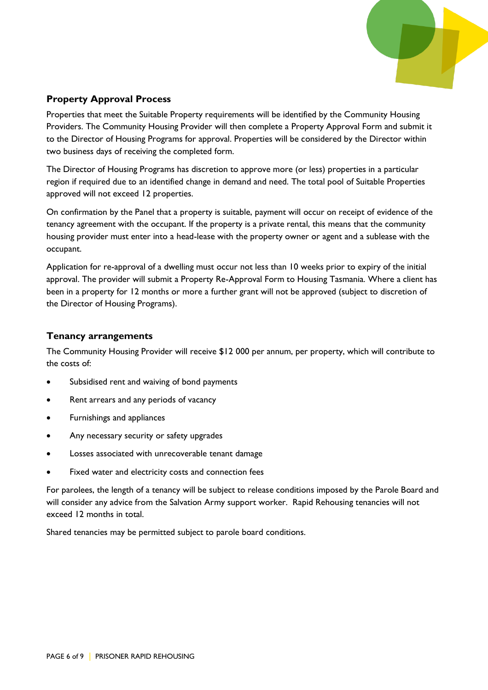

# **Property Approval Process**

Properties that meet the Suitable Property requirements will be identified by the Community Housing Providers. The Community Housing Provider will then complete a Property Approval Form and submit it to the Director of Housing Programs for approval. Properties will be considered by the Director within two business days of receiving the completed form.

The Director of Housing Programs has discretion to approve more (or less) properties in a particular region if required due to an identified change in demand and need. The total pool of Suitable Properties approved will not exceed 12 properties.

On confirmation by the Panel that a property is suitable, payment will occur on receipt of evidence of the tenancy agreement with the occupant. If the property is a private rental, this means that the community housing provider must enter into a head-lease with the property owner or agent and a sublease with the occupant.

Application for re-approval of a dwelling must occur not less than 10 weeks prior to expiry of the initial approval. The provider will submit a Property Re-Approval Form to Housing Tasmania. Where a client has been in a property for 12 months or more a further grant will not be approved (subject to discretion of the Director of Housing Programs).

### **Tenancy arrangements**

The Community Housing Provider will receive \$12 000 per annum, per property, which will contribute to the costs of:

- Subsidised rent and waiving of bond payments
- Rent arrears and any periods of vacancy
- Furnishings and appliances
- Any necessary security or safety upgrades
- Losses associated with unrecoverable tenant damage
- Fixed water and electricity costs and connection fees

For parolees, the length of a tenancy will be subject to release conditions imposed by the Parole Board and will consider any advice from the Salvation Army support worker. Rapid Rehousing tenancies will not exceed 12 months in total.

Shared tenancies may be permitted subject to parole board conditions.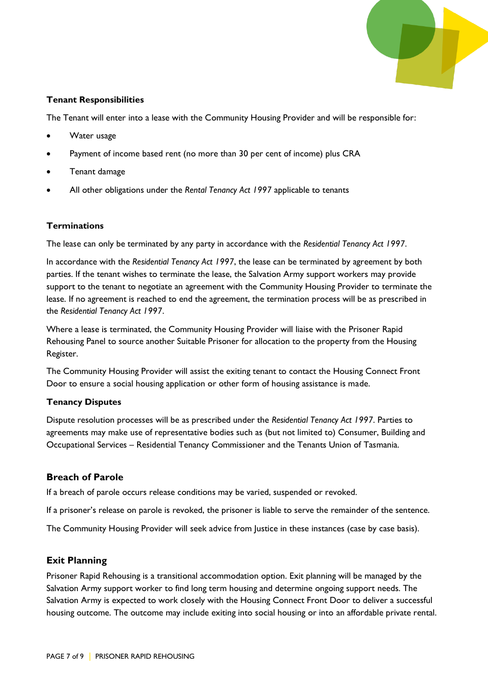

## **Tenant Responsibilities**

The Tenant will enter into a lease with the Community Housing Provider and will be responsible for:

- Water usage
- Payment of income based rent (no more than 30 per cent of income) plus CRA
- Tenant damage
- All other obligations under the *Rental Tenancy Act 1997* applicable to tenants

### **Terminations**

The lease can only be terminated by any party in accordance with the *Residential Tenancy Act 1997*.

In accordance with the *Residential Tenancy Act 1997*, the lease can be terminated by agreement by both parties. If the tenant wishes to terminate the lease, the Salvation Army support workers may provide support to the tenant to negotiate an agreement with the Community Housing Provider to terminate the lease. If no agreement is reached to end the agreement, the termination process will be as prescribed in the *Residential Tenancy Act 1997*.

Where a lease is terminated, the Community Housing Provider will liaise with the Prisoner Rapid Rehousing Panel to source another Suitable Prisoner for allocation to the property from the Housing Register.

The Community Housing Provider will assist the exiting tenant to contact the Housing Connect Front Door to ensure a social housing application or other form of housing assistance is made.

### **Tenancy Disputes**

Dispute resolution processes will be as prescribed under the *Residential Tenancy Act 1997*. Parties to agreements may make use of representative bodies such as (but not limited to) Consumer, Building and Occupational Services – Residential Tenancy Commissioner and the Tenants Union of Tasmania.

# **Breach of Parole**

If a breach of parole occurs release conditions may be varied, suspended or revoked.

If a prisoner's release on parole is revoked, the prisoner is liable to serve the remainder of the sentence.

The Community Housing Provider will seek advice from Justice in these instances (case by case basis).

# **Exit Planning**

Prisoner Rapid Rehousing is a transitional accommodation option. Exit planning will be managed by the Salvation Army support worker to find long term housing and determine ongoing support needs. The Salvation Army is expected to work closely with the Housing Connect Front Door to deliver a successful housing outcome. The outcome may include exiting into social housing or into an affordable private rental.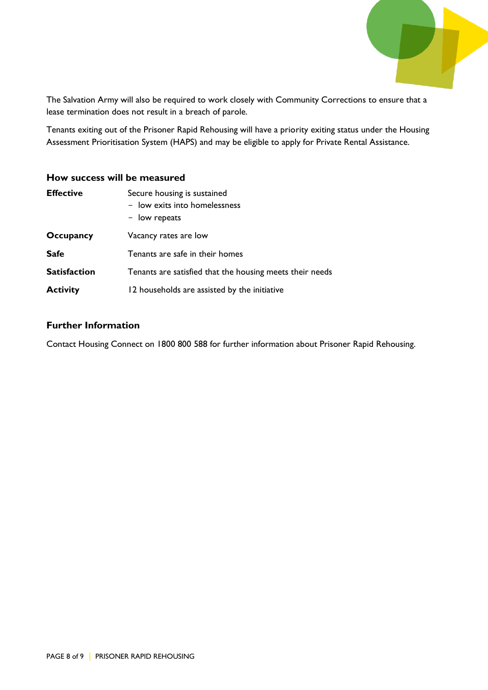

The Salvation Army will also be required to work closely with Community Corrections to ensure that a lease termination does not result in a breach of parole.

Tenants exiting out of the Prisoner Rapid Rehousing will have a priority exiting status under the Housing Assessment Prioritisation System (HAPS) and may be eligible to apply for Private Rental Assistance.

#### **How success will be measured**

| <b>Effective</b>    | Secure housing is sustained<br>- low exits into homelessness<br>- low repeats |  |
|---------------------|-------------------------------------------------------------------------------|--|
| Occupancy           | Vacancy rates are low                                                         |  |
| <b>Safe</b>         | Tenants are safe in their homes                                               |  |
| <b>Satisfaction</b> | Tenants are satisfied that the housing meets their needs                      |  |
| <b>Activity</b>     | 12 households are assisted by the initiative                                  |  |

# **Further Information**

Contact Housing Connect on 1800 800 588 for further information about Prisoner Rapid Rehousing.